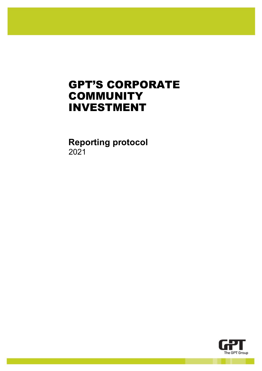# GPT'S CORPORATE **COMMUNITY** INVESTMENT

**Reporting protocol** 2021

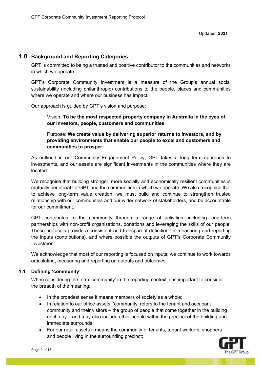#### **1.0 Background and Reporting Categories**

GPT is committed to being a trusted and positive contributor to the communities and networks in which we operate.

GPT's Corporate Community Investment is a measure of the Group's annual social sustainability (including philanthropic) contributions to the people, places and communities where we operate and where our business has impact.

Our approach is guided by GPT's vision and purpose:

Vision: **To be the most respected property company in Australia in the eyes of our investors, people, customers and communities**.

Purpose: **We create value by delivering superior returns to investors, and by providing environments that enable our people to excel and customers and communities to prosper**.

As outlined in our Community Engagement Policy, GPT takes a long term approach to investments, and our assets are significant investments in the communities where they are located.

We recognise that building stronger, more socially and economically resilient communities is mutually beneficial for GPT and the communities in which we operate. We also recognise that to achieve long-term value creation, we must build and continue to strengthen trusted relationship with our communities and our wider network of stakeholders, and be accountable for our commitment.

GPT contributes to the community through a range of activities, including long-term partnerships with non-profit organisations, donations and leveraging the skills of our people. These protocols provide a consistent and transparent definition for measuring and reporting the inputs (contributions), and where possible the outputs of GPT's Corporate Community Investment.

We acknowledge that most of our reporting is focused on inputs; we continue to work towards articulating, measuring and reporting on outputs and outcomes.

#### **1.1 Defining 'community'**

When considering the term 'community' in the reporting context, it is important to consider the breadth of the meaning:

- In the broadest sense it means members of society as a whole;
- In relation to our office assets, 'community' refers to the tenant and occupant community and their visitors – the group of people that come together in the building each day – and may also include other people within the precinct of the building and immediate surrounds;
- For our retail assets it means the community of tenants, tenant workers, shoppers and people living in the surrounding precinct;

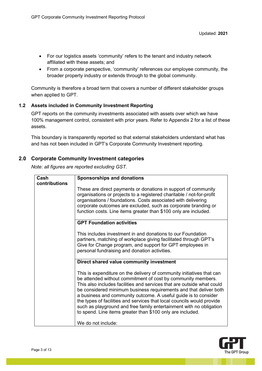- For our logistics assets 'community' refers to the tenant and industry network affiliated with these assets; and
- From a corporate perspective, 'community' references our employee community, the broader property industry or extends through to the global community.

Community is therefore a broad term that covers a number of different stakeholder groups when applied to GPT.

#### **1.2 Assets included in Community Investment Reporting**

GPT reports on the community investments associated with assets over which we have 100% management control, consistent with prior years. Refer to Appendix 2 for a list of these assets.

This boundary is transparently reported so that external stakeholders understand what has and has not been included in GPT's Corporate Community Investment reporting.

#### **2.0 Corporate Community Investment categories**

*Note: all figures are reported excluding GST.*

| Cash          | <b>Sponsorships and donations</b>                                                                                                                                                                                                                                                                                                                                                                                                                                                                                                                                      |
|---------------|------------------------------------------------------------------------------------------------------------------------------------------------------------------------------------------------------------------------------------------------------------------------------------------------------------------------------------------------------------------------------------------------------------------------------------------------------------------------------------------------------------------------------------------------------------------------|
| contributions | These are direct payments or donations in support of community<br>organisations or projects to a registered charitable / not-for-profit<br>organisations / foundations. Costs associated with delivering<br>corporate outcomes are excluded, such as corporate branding or<br>function costs. Line items greater than \$100 only are included.                                                                                                                                                                                                                         |
|               | <b>GPT Foundation activities</b>                                                                                                                                                                                                                                                                                                                                                                                                                                                                                                                                       |
|               | This includes investment in and donations to our Foundation<br>partners, matching of workplace giving facilitated through GPT's<br>Give for Change program, and support for GPT employees in<br>personal fundraising and donation activities.                                                                                                                                                                                                                                                                                                                          |
|               | Direct shared value community investment                                                                                                                                                                                                                                                                                                                                                                                                                                                                                                                               |
|               | This is expenditure on the delivery of community initiatives that can<br>be attended without commitment of cost by community members.<br>This also includes facilities and services that are outside what could<br>be considered minimum business requirements and that deliver both<br>a business and community outcome. A useful guide is to consider<br>the types of facilities and services that local councils would provide<br>such as playground and free family entertainment with no obligation<br>to spend. Line items greater than \$100 only are included. |
|               | We do not include:                                                                                                                                                                                                                                                                                                                                                                                                                                                                                                                                                     |

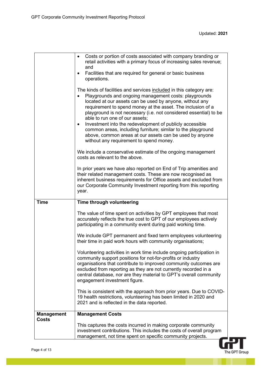|                                   | Costs or portion of costs associated with company branding or<br>$\bullet$<br>retail activities with a primary focus of increasing sales revenue;<br>and<br>Facilities that are required for general or basic business<br>$\bullet$<br>operations.<br>The kinds of facilities and services included in this category are:<br>Playgrounds and ongoing management costs: playgrounds<br>located at our assets can be used by anyone, without any<br>requirement to spend money at the asset. The inclusion of a<br>playground is not necessary (i.e. not considered essential) to be<br>able to run one of our assets;<br>Investment into the redevelopment of publicly accessible<br>$\bullet$<br>common areas, including furniture; similar to the playground<br>above, common areas at our assets can be used by anyone<br>without any requirement to spend money.<br>We include a conservative estimate of the ongoing management<br>costs as relevant to the above.<br>In prior years we have also reported on End of Trip amenities and<br>their related management costs. These are now recognised as<br>inherent business requirements for Office assets and excluded from<br>our Corporate Community Investment reporting from this reporting<br>year. |
|-----------------------------------|---------------------------------------------------------------------------------------------------------------------------------------------------------------------------------------------------------------------------------------------------------------------------------------------------------------------------------------------------------------------------------------------------------------------------------------------------------------------------------------------------------------------------------------------------------------------------------------------------------------------------------------------------------------------------------------------------------------------------------------------------------------------------------------------------------------------------------------------------------------------------------------------------------------------------------------------------------------------------------------------------------------------------------------------------------------------------------------------------------------------------------------------------------------------------------------------------------------------------------------------------------------|
| <b>Time</b>                       | Time through volunteering                                                                                                                                                                                                                                                                                                                                                                                                                                                                                                                                                                                                                                                                                                                                                                                                                                                                                                                                                                                                                                                                                                                                                                                                                                     |
|                                   | The value of time spent on activities by GPT employees that most<br>accurately reflects the true cost to GPT of our employees actively<br>participating in a community event during paid working time.<br>We include GPT permanent and fixed term employees volunteering<br>their time in paid work hours with community organisations;<br>Volunteering activities in work time include ongoing participation in<br>community support positions for not-for-profits or industry<br>organisations that contribute to improved community outcomes are<br>excluded from reporting as they are not currently recorded in a<br>central database, nor are they material to GPT's overall community<br>engagement investment figure.<br>This is consistent with the approach from prior years. Due to COVID-<br>19 health restrictions, volunteering has been limited in 2020 and<br>2021 and is reflected in the data reported.                                                                                                                                                                                                                                                                                                                                     |
| <b>Management</b><br><b>Costs</b> | <b>Management Costs</b>                                                                                                                                                                                                                                                                                                                                                                                                                                                                                                                                                                                                                                                                                                                                                                                                                                                                                                                                                                                                                                                                                                                                                                                                                                       |
|                                   | This captures the costs incurred in making corporate community<br>investment contributions. This includes the costs of overall program<br>management, not time spent on specific community projects.                                                                                                                                                                                                                                                                                                                                                                                                                                                                                                                                                                                                                                                                                                                                                                                                                                                                                                                                                                                                                                                          |

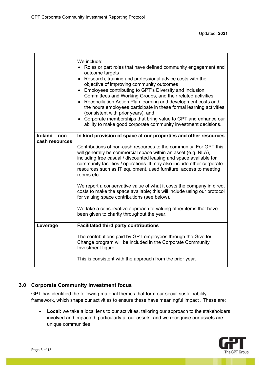|                                 | We include:<br>• Roles or part roles that have defined community engagement and<br>outcome targets<br>• Research, training and professional advice costs with the<br>objective of improving community outcomes<br>• Employees contributing to GPT's Diversity and Inclusion<br>Committees and Working Groups, and their related activities<br>• Reconciliation Action Plan learning and development costs and<br>the hours employees participate in these formal learning activities<br>(consistent with prior years), and<br>• Corporate memberships that bring value to GPT and enhance our<br>ability to make good corporate community investment decisions. |
|---------------------------------|-----------------------------------------------------------------------------------------------------------------------------------------------------------------------------------------------------------------------------------------------------------------------------------------------------------------------------------------------------------------------------------------------------------------------------------------------------------------------------------------------------------------------------------------------------------------------------------------------------------------------------------------------------------------|
| In-kind – non<br>cash resources | In kind provision of space at our properties and other resources                                                                                                                                                                                                                                                                                                                                                                                                                                                                                                                                                                                                |
|                                 | Contributions of non-cash resources to the community. For GPT this<br>will generally be commercial space within an asset (e.g. NLA),<br>including free casual / discounted leasing and space available for<br>community facilities / operations. It may also include other corporate<br>resources such as IT equipment, used furniture, access to meeting<br>rooms etc.                                                                                                                                                                                                                                                                                         |
|                                 | We report a conservative value of what it costs the company in direct<br>costs to make the space available; this will include using our protocol<br>for valuing space contributions (see below).                                                                                                                                                                                                                                                                                                                                                                                                                                                                |
|                                 | We take a conservative approach to valuing other items that have<br>been given to charity throughout the year.                                                                                                                                                                                                                                                                                                                                                                                                                                                                                                                                                  |
| Leverage                        | <b>Facilitated third party contributions</b>                                                                                                                                                                                                                                                                                                                                                                                                                                                                                                                                                                                                                    |
|                                 | The contributions paid by GPT employees through the Give for<br>Change program will be included in the Corporate Community<br>Investment figure.                                                                                                                                                                                                                                                                                                                                                                                                                                                                                                                |
|                                 | This is consistent with the approach from the prior year.                                                                                                                                                                                                                                                                                                                                                                                                                                                                                                                                                                                                       |

### **3.0 Corporate Community Investment focus**

GPT has identified the following material themes that form our social sustainability framework, which shape our activities to ensure these have meaningful impact . These are:

• **Local:** we take a local lens to our activities, tailoring our approach to the stakeholders involved and impacted, particularly at our assets and we recognise our assets are unique communities

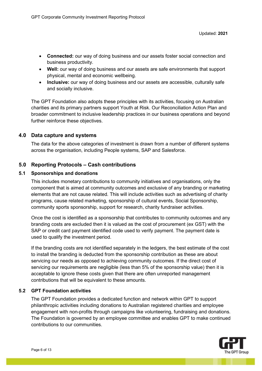- **Connected:** our way of doing business and our assets foster social connection and business productivity.
- **Well:** our way of doing business and our assets are safe environments that support physical, mental and economic wellbeing.
- **Inclusive:** our way of doing business and our assets are accessible, culturally safe and socially inclusive.

The GPT Foundation also adopts these principles with its activities, focusing on Australian charities and its primary partners support Youth at Risk. Our Reconciliation Action Plan and broader commitment to inclusive leadership practices in our business operations and beyond further reinforce these objectives.

#### **4.0 Data capture and systems**

The data for the above categories of investment is drawn from a number of different systems across the organisation, including People systems, SAP and Salesforce.

#### **5.0 Reporting Protocols – Cash contributions**

#### **5.1 Sponsorships and donations**

This includes monetary contributions to community initiatives and organisations, only the component that is aimed at community outcomes and exclusive of any branding or marketing elements that are not cause related. This will include activities such as advertising of charity programs, cause related marketing, sponsorship of cultural events, Social Sponsorship, community sports sponsorship, support for research, charity fundraiser activities.

Once the cost is identified as a sponsorship that contributes to community outcomes and any branding costs are excluded then it is valued as the cost of procurement (ex GST) with the SAP or credit card payment identified code used to verify payment. The payment date is used to qualify the investment period.

If the branding costs are not identified separately in the ledgers, the best estimate of the cost to install the branding is deducted from the sponsorship contribution as these are about servicing our needs as opposed to achieving community outcomes. If the direct cost of servicing our requirements are negligible (less than 5% of the sponsorship value) then it is acceptable to ignore these costs given that there are often unreported management contributions that will be equivalent to these amounts.

#### **5.2 GPT Foundation activities**

The GPT Foundation provides a dedicated function and network within GPT to support philanthropic activities including donations to Australian registered charities and employee engagement with non-profits through campaigns like volunteering, fundraising and donations. The Foundation is governed by an employee committee and enables GPT to make continued contributions to our communities.

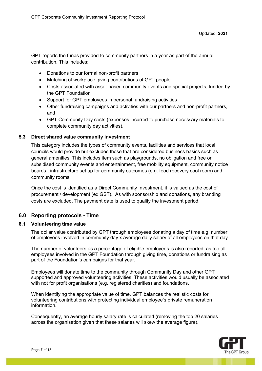GPT reports the funds provided to community partners in a year as part of the annual contribution. This includes:

- Donations to our formal non-profit partners
- Matching of workplace giving contributions of GPT people
- Costs associated with asset-based community events and special projects, funded by the GPT Foundation
- Support for GPT employees in personal fundraising activities
- Other fundraising campaigns and activities with our partners and non-profit partners, and
- GPT Community Day costs (expenses incurred to purchase necessary materials to complete community day activities).

#### **5.3 Direct shared value community investment**

This category includes the types of community events, facilities and services that local councils would provide but excludes those that are considered business basics such as general amenities. This includes item such as playgrounds, no obligation and free or subsidised community events and entertainment, free mobility equipment, community notice boards,, infrastructure set up for community outcomes (e.g. food recovery cool room) and community rooms.

Once the cost is identified as a Direct Community Investment, it is valued as the cost of procurement / development (ex GST). As with sponsorship and donations, any branding costs are excluded. The payment date is used to qualify the investment period.

#### **6.0 Reporting protocols - Time**

#### **6.1 Volunteering time value**

The dollar value contributed by GPT through employees donating a day of time e.g. number of employees involved in community day x average daily salary of all employees on that day.

The number of volunteers as a percentage of eligible employees is also reported, as too all employees involved in the GPT Foundation through giving time, donations or fundraising as part of the Foundation's campaigns for that year.

Employees will donate time to the community through Community Day and other GPT supported and approved volunteering activities. These activities would usually be associated with not for profit organisations (e.g. registered charities) and foundations.

When identifying the appropriate value of time, GPT balances the realistic costs for volunteering contributions with protecting individual employee's private remuneration information.

Consequently, an average hourly salary rate is calculated (removing the top 20 salaries across the organisation given that these salaries will skew the average figure).

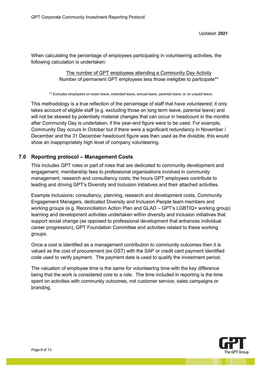When calculating the percentage of employees participating in volunteering activities, the following calculation is undertaken:

> The number of GPT employees attending a Community Day Activity Number of permanent GPT employees less those ineligible to participate\*\*

\*\* Excludes employees on exam leave, extended leave, annual leave, parental leave, or on unpaid leave.

This methodology is a true reflection of the percentage of staff that have volunteered; it only takes account of eligible staff (e.g. excluding those on long term leave, parental leave) and will not be skewed by potentially material changes that can occur in headcount in the months after Community Day is undertaken, if the year-end figure were to be used. For example, Community Day occurs in October but if there were a significant redundancy in November / December and the 31 December headcount figure was then used as the divisible, this would show an inappropriately high level of company volunteering.

#### **7.0 Reporting protocol – Management Costs**

This includes GPT roles or part of roles that are dedicated to community development and engagement; membership fees to professional organisations involved in community management, research and consultancy costs; the hours GPT employees contribute to leading and driving GPT's Diversity and Inclusion initiatives and their attached activities.

Example inclusions**:** consultancy, planning, research and development costs, Community Engagement Managers, dedicated Diversity and Inclusion People team members and working groups (e.g. Reconciliation Action Plan and GLAD – GPT's LGBTIQ+ working group) learning and development activities undertaken within diversity and inclusion initiatives that support social change (as opposed to professional development that enhances individual career progression), GPT Foundation Committee and activities related to these working groups.

Once a cost is identified as a management contribution to community outcomes then it is valued as the cost of procurement (ex GST) with the SAP or credit card payment identified code used to verify payment. The payment date is used to qualify the investment period.

The valuation of employee time is the same for volunteering time with the key difference being that the work is considered core to a role. The time included in reporting is the time spent on activities with community outcomes, not customer service, sales campaigns or branding.

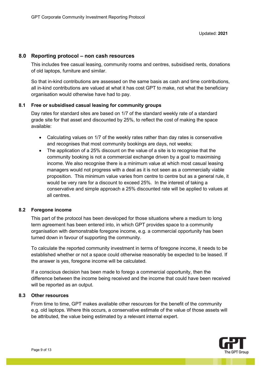#### **8.0 Reporting protocol – non cash resources**

This includes free casual leasing, community rooms and centres, subsidised rents, donations of old laptops, furniture and similar.

So that in-kind contributions are assessed on the same basis as cash and time contributions, all in-kind contributions are valued at what it has cost GPT to make, not what the beneficiary organisation would otherwise have had to pay.

#### **8.1 Free or subsidised casual leasing for community groups**

Day rates for standard sites are based on 1/7 of the standard weekly rate of a standard grade site for that asset and discounted by 25%, to reflect the cost of making the space available:

- Calculating values on 1/7 of the weekly rates rather than day rates is conservative and recognises that most community bookings are days, not weeks;
- The application of a 25% discount on the value of a site is to recognise that the community booking is not a commercial exchange driven by a goal to maximising income. We also recognise there is a minimum value at which most casual leasing managers would not progress with a deal as it is not seen as a commercially viable proposition. This minimum value varies from centre to centre but as a general rule, it would be very rare for a discount to exceed 25%. In the interest of taking a conservative and simple approach a 25% discounted rate will be applied to values at all centres.

#### **8.2 Foregone income**

This part of the protocol has been developed for those situations where a medium to long term agreement has been entered into, in which GPT provides space to a community organisation with demonstrable foregone income, e.g. a commercial opportunity has been turned down in favour of supporting the community.

To calculate the reported community investment in terms of foregone income, it needs to be established whether or not a space could otherwise reasonably be expected to be leased. If the answer is yes, foregone income will be calculated.

If a conscious decision has been made to forego a commercial opportunity, then the difference between the income being received and the income that could have been received will be reported as an output.

#### **8.3 Other resources**

From time to time, GPT makes available other resources for the benefit of the community e.g. old laptops. Where this occurs, a conservative estimate of the value of those assets will be attributed, the value being estimated by a relevant internal expert.

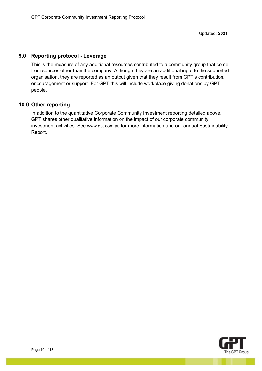#### **9.0 Reporting protocol - Leverage**

This is the measure of any additional resources contributed to a community group that come from sources other than the company. Although they are an additional input to the supported organisation, they are reported as an output given that they result from GPT's contribution, encouragement or support. For GPT this will include workplace giving donations by GPT people.

#### **10.0 Other reporting**

In addition to the quantitative Corporate Community Investment reporting detailed above, GPT shares other qualitative information on the impact of our corporate community investment activities. See [www.gpt.com.au](http://www.gpt.com.au/) for more information and our annual Sustainability Report.

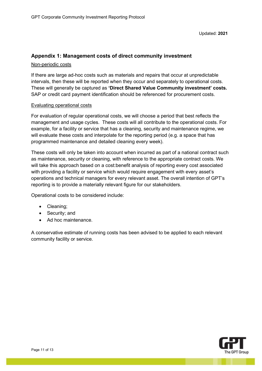# **Appendix 1: Management costs of direct community investment**

#### Non-periodic costs

If there are large ad-hoc costs such as materials and repairs that occur at unpredictable intervals, then these will be reported when they occur and separately to operational costs. These will generally be captured as **'Direct Shared Value Community investment' costs.**  SAP or credit card payment identification should be referenced for procurement costs.

#### Evaluating operational costs

For evaluation of regular operational costs, we will choose a period that best reflects the management and usage cycles. These costs will all contribute to the operational costs. For example, for a facility or service that has a cleaning, security and maintenance regime, we will evaluate these costs and interpolate for the reporting period (e.g. a space that has programmed maintenance and detailed cleaning every week).

These costs will only be taken into account when incurred as part of a national contract such as maintenance, security or cleaning, with reference to the appropriate contract costs. We will take this approach based on a cost:benefit analysis of reporting every cost associated with providing a facility or service which would require engagement with every asset's operations and technical managers for every relevant asset. The overall intention of GPT's reporting is to provide a materially relevant figure for our stakeholders.

Operational costs to be considered include:

- Cleaning;
- Security; and
- Ad hoc maintenance.

A conservative estimate of running costs has been advised to be applied to each relevant community facility or service.

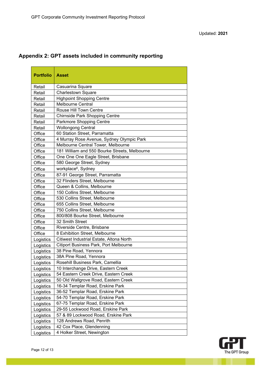| <b>Portfolio</b> | <b>Asset</b>                                  |
|------------------|-----------------------------------------------|
| Retail           | Casuarina Square                              |
| Retail           | <b>Charlestown Square</b>                     |
| Retail           | <b>Highpoint Shopping Centre</b>              |
| Retail           | Melbourne Central                             |
| Retail           | <b>Rouse Hill Town Centre</b>                 |
| Retail           | <b>Chirnside Park Shopping Centre</b>         |
| Retail           | Parkmore Shopping Centre                      |
| Retail           | <b>Wollongong Central</b>                     |
| Office           | 60 Station Street, Parramatta                 |
| Office           | 4 Murray Rose Avenue, Sydney Olympic Park     |
| Office           | Melbourne Central Tower, Melbourne            |
| Office           | 181 William and 550 Bourke Streets, Melbourne |
| Office           | One One One Eagle Street, Brisbane            |
| Office           | 580 George Street, Sydney                     |
| Office           | workplace <sup>6</sup> , Sydney               |
| Office           | 87-91 George Street, Parramatta               |
| Office           | 32 Flinders Street, Melbourne                 |
| Office           | Queen & Collins, Melbourne                    |
| Office           | 150 Collins Street, Melbourne                 |
| Office           | 530 Collins Street, Melbourne                 |
| Office           | 655 Collins Street, Melbourne                 |
| Office           | 750 Collins Street, Melbourne                 |
| Office           | 800/808 Bourke Street, Melbourne              |
| Office           | 32 Smith Street                               |
| Office           | Riverside Centre, Brisbane                    |
| Office           | 8 Exhibition Street, Melbourne                |
| Logistics        | Citiwest Industrial Estate, Altona North      |
| Logistics        | <b>Citiport Business Park, Port Melbourne</b> |
| Logistics        | 38 Pine Road, Yennora                         |
| Logistics        | 38A Pine Road, Yennora                        |
| Logistics        | Rosehill Business Park, Camellia              |
| Logistics        | 10 Interchange Drive, Eastern Creek           |
| Logistics        | 54 Eastern Creek Drive, Eastern Creek         |
| Logistics        | 50 Old Wallgrove Road, Eastern Creek          |
| Logistics        | 16-34 Templar Road, Erskine Park              |
| Logistics        | 36-52 Templar Road, Erskine Park              |
| Logistics        | 54-70 Templar Road, Erskine Park              |
| Logistics        | 67-75 Templar Road, Erskine Park              |
| Logistics        | 29-55 Lockwood Road, Erskine Park             |
| Logistics        | 57 & 89 Lockwood Road, Erskine Park           |
| Logistics        | 128 Andrews Road, Penrith                     |
| Logistics        | 42 Cox Place, Glendenning                     |
| Logistics        | 4 Holker Street, Newington                    |

## **Appendix 2: GPT assets included in community reporting**